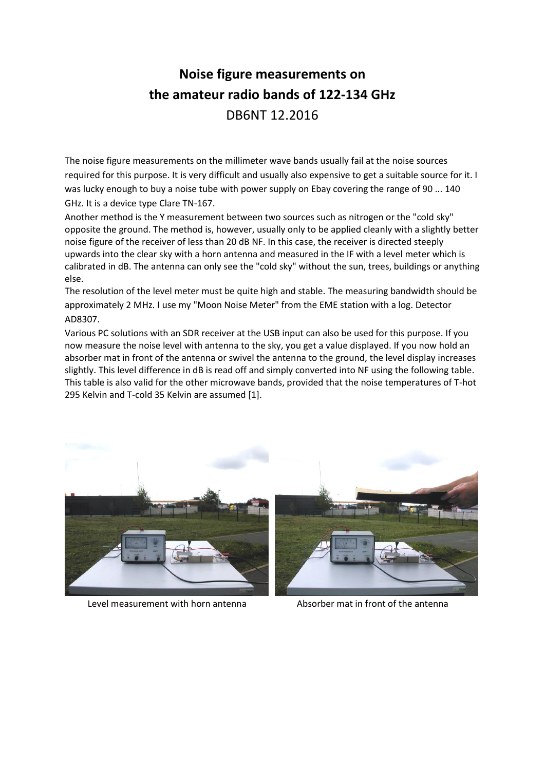## **Noise figure measurements on the amateur radio bands of 122-134 GHz** DB6NT 12.2016

The noise figure measurements on the millimeter wave bands usually fail at the noise sources required for this purpose. It is very difficult and usually also expensive to get a suitable source for it. I was lucky enough to buy a noise tube with power supply on Ebay covering the range of 90 ... 140 GHz. It is a device type Clare TN-167.

Another method is the Y measurement between two sources such as nitrogen or the "cold sky" opposite the ground. The method is, however, usually only to be applied cleanly with a slightly better noise figure of the receiver of less than 20 dB NF. In this case, the receiver is directed steeply upwards into the clear sky with a horn antenna and measured in the IF with a level meter which is calibrated in dB. The antenna can only see the "cold sky" without the sun, trees, buildings or anything else.

The resolution of the level meter must be quite high and stable. The measuring bandwidth should be approximately 2 MHz. I use my "Moon Noise Meter" from the EME station with a log. Detector AD8307.

Various PC solutions with an SDR receiver at the USB input can also be used for this purpose. If you now measure the noise level with antenna to the sky, you get a value displayed. If you now hold an absorber mat in front of the antenna or swivel the antenna to the ground, the level display increases slightly. This level difference in dB is read off and simply converted into NF using the following table. This table is also valid for the other microwave bands, provided that the noise temperatures of T-hot 295 Kelvin and T-cold 35 Kelvin are assumed [1].



Level measurement with horn antenna Absorber mat in front of the antenna

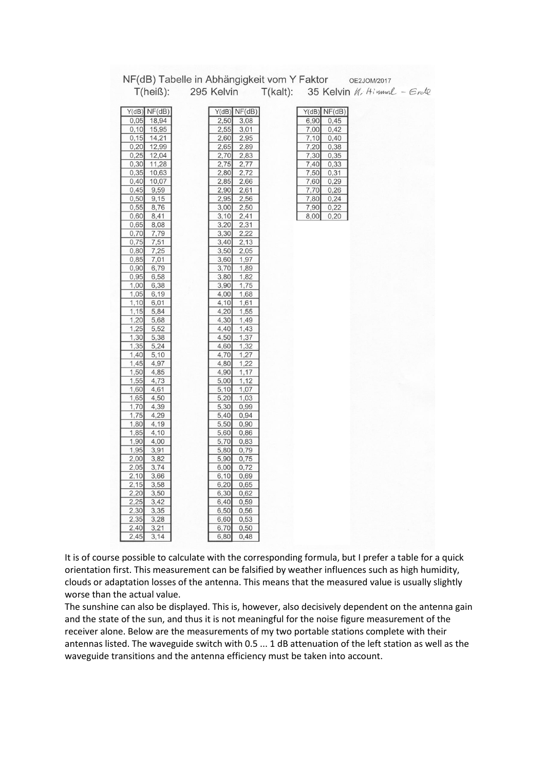|                 | NF(dB) Tabelle in Abhängigkeit vom Y Faktor | OE2JOM/2017                                  |
|-----------------|---------------------------------------------|----------------------------------------------|
| $T(hei\beta)$ : | 295 Kelvin                                  | $T(kalt):$ 35 Kelvin <i>K</i> , Himml - Erde |
|                 |                                             |                                              |
|                 |                                             |                                              |
| $Y(dB)$ NF(dB)  | $Y(dB)$ NF(dB)                              | $Y(dB)$ NF(dB)                               |
| 0,05<br>18,94   | 2,50<br>3,08                                | 6,90<br>0,45                                 |
| 0,10<br>15,95   | 2,55<br>3,01                                | 7,00<br>0,42                                 |
| 0,15<br>14,21   | 2,60<br>2,95                                | 7,10<br>0,40                                 |
| 0,20<br>12,99   | 2,65<br>2,89                                | 0,38<br>7,20                                 |
| 0,25<br>12,04   | 2,70<br>2,83                                | 7,30<br>0,35                                 |
| 0,30<br>11,28   | 2,75<br>2,77                                | 7,40<br>0,33                                 |
| 0,35<br>10,63   | 2,80<br>2,72                                | 7,50<br>0,31                                 |
| 0,40<br>10,07   | 2,85<br>2,66                                | 7,60<br>0,29                                 |
| 0,45<br>9,59    | 2,90<br>2,61                                | 7,70<br>0,26                                 |
| 0,50<br>9,15    | 2,95<br>2,56                                | 7,80<br>0,24                                 |
| 0,55<br>8,76    | 3,00<br>2,50                                | 7,90<br>0,22                                 |
| 0,60<br>8,41    | 3,10<br>2,41                                | 8,00<br>0,20                                 |
| 0,65<br>8,08    | 3,20<br>2,31                                |                                              |
| 0,70<br>7,79    | 3,30<br>2,22                                |                                              |
| 0,75<br>7,51    | 3,40<br>2,13                                |                                              |
| 0,80<br>7,25    | 3,50<br>2,05                                |                                              |
| 0,85<br>7,01    | 3,60<br>1,97                                |                                              |
| 0,90<br>6,79    | 3,70<br>1,89                                |                                              |
| 0,95<br>6,58    | 1,82<br>3,80                                |                                              |
| 1,00            | 1,75                                        |                                              |
| 6,38            | 3,90                                        |                                              |
| 1,05<br>6,19    | 4,00<br>1,68                                |                                              |
| 1,10<br>6,01    | 4,10<br>1,61                                |                                              |
| 1,15<br>5,84    | 4,20<br>1,55                                |                                              |
| 1,20<br>5,68    | 4,30<br>1,49                                |                                              |
| 1,25<br>5,52    | 4,40<br>1,43                                |                                              |
| 1,30<br>5,38    | 4,50<br>1,37                                |                                              |
| 1,35<br>5,24    | 4,60<br>1,32                                |                                              |
| 1,40<br>5,10    | 4,70<br>1,27                                |                                              |
| 4,97<br>1,45    | 4,80<br>1,22                                |                                              |
| 1,50<br>4,85    | 4,90<br>1,17                                |                                              |
| 1,55<br>4,73    | 5,00<br>1,12                                |                                              |
| 1,60<br>4,61    | 5,10<br>1,07                                |                                              |
| 1,65<br>4,50    | 5,20<br>1,03                                |                                              |
| 1,70<br>4,39    | 5,30<br>0,99                                |                                              |
| 1,75<br>4,29    | 5,40<br>0,94                                |                                              |
| 1,80<br>4,19    | 5,50<br>0,90                                |                                              |
| 1,85<br>4,10    | 5,60<br>0,86                                |                                              |
| 1,90<br>4,00    | 5,70<br>0,83                                |                                              |
| 1,95<br>3,91    | 5,80<br>0,79                                |                                              |
| 2,00<br>3,82    | 5,90<br>0,75                                |                                              |
| 2,05<br>3,74    | 6,00<br>0,72                                |                                              |
| 3,66<br>2,10    | 6, 10<br>0,69                               |                                              |
| 2,15<br>3,58    | 6,20<br>0,65                                |                                              |
| 2,20<br>3,50    | 6,30<br>0,62                                |                                              |
| 2,25<br>3,42    | 6,40<br>0,59                                |                                              |
| 2,30<br>3,35    | 6,50<br>0,56                                |                                              |
| 2,35<br>3,28    | 6,60<br>0,53                                |                                              |
| 2,40<br>3,21    | 6,70<br>0,50                                |                                              |
| 2.45<br>3.14    | 6.80<br>0.48                                |                                              |

It is of course possible to calculate with the corresponding formula, but I prefer a table for a quick orientation first. This measurement can be falsified by weather influences such as high humidity, clouds or adaptation losses of the antenna. This means that the measured value is usually slightly worse than the actual value.

The sunshine can also be displayed. This is, however, also decisively dependent on the antenna gain and the state of the sun, and thus it is not meaningful for the noise figure measurement of the receiver alone. Below are the measurements of my two portable stations complete with their antennas listed. The waveguide switch with 0.5 ... 1 dB attenuation of the left station as well as the waveguide transitions and the antenna efficiency must be taken into account.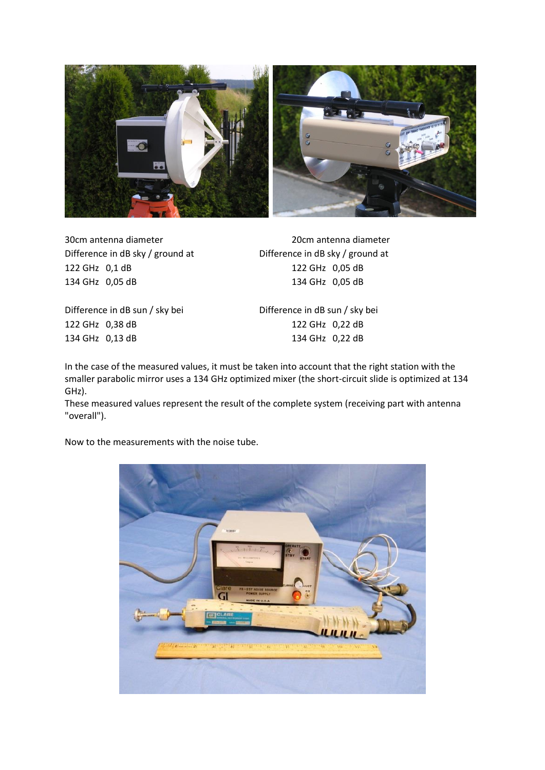

122 GHz 0,1 dB 122 GHz 0,05 dB 134 GHz 0,05 dB 134 GHz 0,05 dB

30cm antenna diameter 20cm antenna diameter Difference in dB sky / ground at Difference in dB sky / ground at

Difference in dB sun / sky bei Difference in dB sun / sky bei 122 GHz 0,38 dB 122 GHz 0,22 dB 134 GHz 0,13 dB 134 GHz 0,22 dB

In the case of the measured values, it must be taken into account that the right station with the smaller parabolic mirror uses a 134 GHz optimized mixer (the short-circuit slide is optimized at 134 GHz).

These measured values represent the result of the complete system (receiving part with antenna "overall").

Now to the measurements with the noise tube.

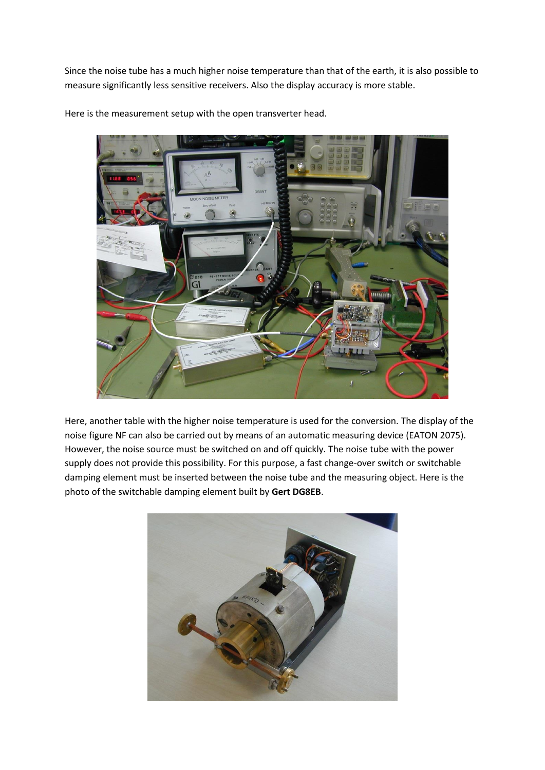Since the noise tube has a much higher noise temperature than that of the earth, it is also possible to measure significantly less sensitive receivers. Also the display accuracy is more stable.



Here is the measurement setup with the open transverter head.

Here, another table with the higher noise temperature is used for the conversion. The display of the noise figure NF can also be carried out by means of an automatic measuring device (EATON 2075). However, the noise source must be switched on and off quickly. The noise tube with the power supply does not provide this possibility. For this purpose, a fast change-over switch or switchable damping element must be inserted between the noise tube and the measuring object. Here is the photo of the switchable damping element built by **Gert DG8EB**.